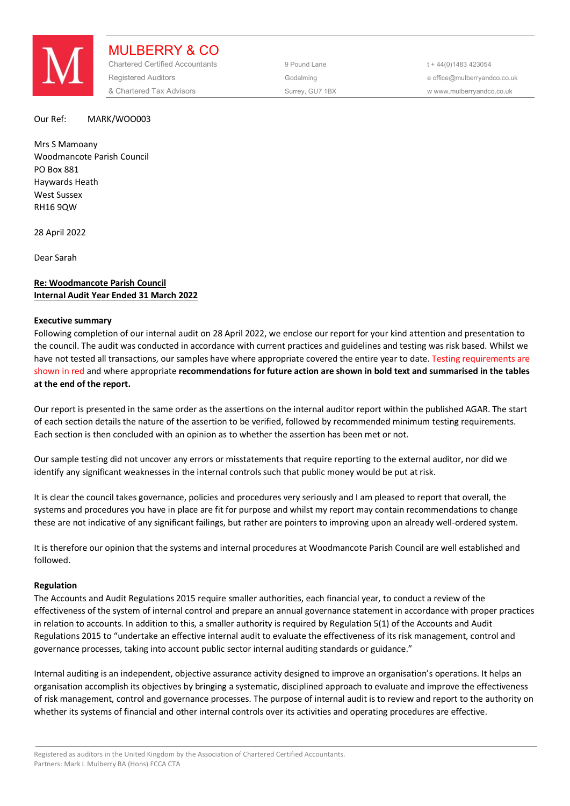

MULBERRY & CO Chartered Certified Accountants 9 Pound Lane 5 and the 44(0) 1483 423054 Registered Auditors and the Codalming Codalming and the office@mulberryandco.co.uk & Chartered Tax Advisors Surrey, GU7 1BX w www.mulberryandco.co.uk

#### Our Ref: MARK/WOO003

Mrs S Mamoany Woodmancote Parish Council PO Box 881 Haywards Heath West Sussex RH16 9QW

28 April 2022

Dear Sarah

# **Re: Woodmancote Parish Council Internal Audit Year Ended 31 March 2022**

#### **Executive summary**

Following completion of our internal audit on 28 April 2022, we enclose our report for your kind attention and presentation to the council. The audit was conducted in accordance with current practices and guidelines and testing was risk based. Whilst we have not tested all transactions, our samples have where appropriate covered the entire year to date. Testing requirements are shown in red and where appropriate **recommendations for future action are shown in bold text and summarised in the tables at the end of the report.** 

Our report is presented in the same order as the assertions on the internal auditor report within the published AGAR. The start of each section details the nature of the assertion to be verified, followed by recommended minimum testing requirements. Each section is then concluded with an opinion as to whether the assertion has been met or not.

Our sample testing did not uncover any errors or misstatements that require reporting to the external auditor, nor did we identify any significant weaknesses in the internal controls such that public money would be put at risk.

It is clear the council takes governance, policies and procedures very seriously and I am pleased to report that overall, the systems and procedures you have in place are fit for purpose and whilst my report may contain recommendations to change these are not indicative of any significant failings, but rather are pointers to improving upon an already well-ordered system.

It is therefore our opinion that the systems and internal procedures at Woodmancote Parish Council are well established and followed.

#### **Regulation**

The Accounts and Audit Regulations 2015 require smaller authorities, each financial year, to conduct a review of the effectiveness of the system of internal control and prepare an annual governance statement in accordance with proper practices in relation to accounts. In addition to this, a smaller authority is required by Regulation 5(1) of the Accounts and Audit Regulations 2015 to "undertake an effective internal audit to evaluate the effectiveness of its risk management, control and governance processes, taking into account public sector internal auditing standards or guidance."

Internal auditing is an independent, objective assurance activity designed to improve an organisation's operations. It helps an organisation accomplish its objectives by bringing a systematic, disciplined approach to evaluate and improve the effectiveness of risk management, control and governance processes. The purpose of internal audit is to review and report to the authority on whether its systems of financial and other internal controls over its activities and operating procedures are effective.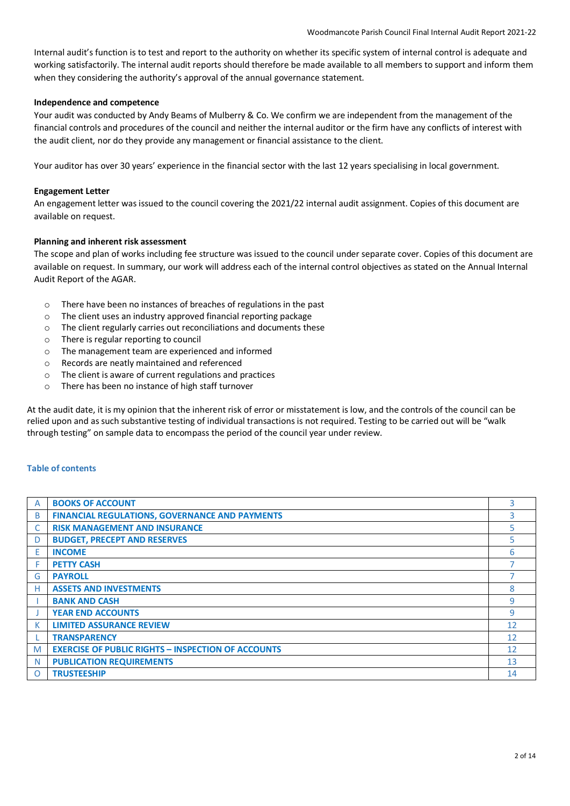Internal audit's function is to test and report to the authority on whether its specific system of internal control is adequate and working satisfactorily. The internal audit reports should therefore be made available to all members to support and inform them when they considering the authority's approval of the annual governance statement.

# **Independence and competence**

Your audit was conducted by Andy Beams of Mulberry & Co. We confirm we are independent from the management of the financial controls and procedures of the council and neither the internal auditor or the firm have any conflicts of interest with the audit client, nor do they provide any management or financial assistance to the client.

Your auditor has over 30 years' experience in the financial sector with the last 12 years specialising in local government.

# **Engagement Letter**

An engagement letter was issued to the council covering the 2021/22 internal audit assignment. Copies of this document are available on request.

# **Planning and inherent risk assessment**

The scope and plan of works including fee structure was issued to the council under separate cover. Copies of this document are available on request. In summary, our work will address each of the internal control objectives as stated on the Annual Internal Audit Report of the AGAR.

- o There have been no instances of breaches of regulations in the past
- o The client uses an industry approved financial reporting package
- o The client regularly carries out reconciliations and documents these
- o There is regular reporting to council
- o The management team are experienced and informed
- o Records are neatly maintained and referenced
- o The client is aware of current regulations and practices
- o There has been no instance of high staff turnover

At the audit date, it is my opinion that the inherent risk of error or misstatement is low, and the controls of the council can be relied upon and as such substantive testing of individual transactions is not required. Testing to be carried out will be "walk through testing" on sample data to encompass the period of the council year under review.

# **Table of contents**

| A        | <b>BOOKS OF ACCOUNT</b>                                   | 3  |
|----------|-----------------------------------------------------------|----|
| B        | <b>FINANCIAL REGULATIONS, GOVERNANCE AND PAYMENTS</b>     | 3  |
|          | <b>RISK MANAGEMENT AND INSURANCE</b>                      | 5. |
| D        | <b>BUDGET, PRECEPT AND RESERVES</b>                       | 5  |
| E        | <b>INCOME</b>                                             | 6  |
| F        | <b>PETTY CASH</b>                                         |    |
| G        | <b>PAYROLL</b>                                            |    |
| н        | <b>ASSETS AND INVESTMENTS</b>                             | 8  |
|          | <b>BANK AND CASH</b>                                      | 9  |
|          | <b>YEAR END ACCOUNTS</b>                                  | 9  |
| К        | <b>LIMITED ASSURANCE REVIEW</b>                           | 12 |
|          | <b>TRANSPARENCY</b>                                       | 12 |
| M        | <b>EXERCISE OF PUBLIC RIGHTS - INSPECTION OF ACCOUNTS</b> | 12 |
| N        | <b>PUBLICATION REQUIREMENTS</b>                           | 13 |
| $\Omega$ | <b>TRUSTEESHIP</b>                                        | 14 |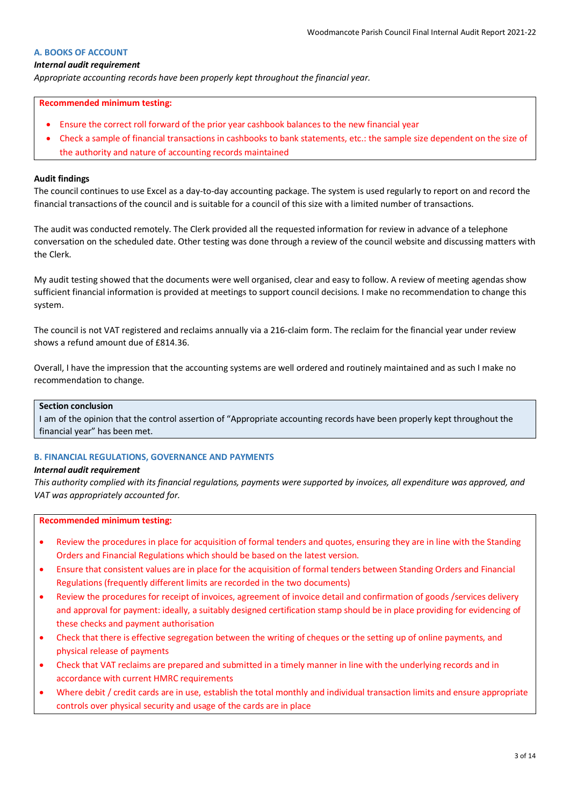# **A. BOOKS OF ACCOUNT**

#### *Internal audit requirement*

*Appropriate accounting records have been properly kept throughout the financial year.*

#### **Recommended minimum testing:**

- Ensure the correct roll forward of the prior year cashbook balances to the new financial year
- Check a sample of financial transactions in cashbooks to bank statements, etc.: the sample size dependent on the size of the authority and nature of accounting records maintained

#### **Audit findings**

The council continues to use Excel as a day-to-day accounting package. The system is used regularly to report on and record the financial transactions of the council and is suitable for a council of this size with a limited number of transactions.

The audit was conducted remotely. The Clerk provided all the requested information for review in advance of a telephone conversation on the scheduled date. Other testing was done through a review of the council website and discussing matters with the Clerk.

My audit testing showed that the documents were well organised, clear and easy to follow. A review of meeting agendas show sufficient financial information is provided at meetings to support council decisions. I make no recommendation to change this system.

The council is not VAT registered and reclaims annually via a 216-claim form. The reclaim for the financial year under review shows a refund amount due of £814.36.

Overall, I have the impression that the accounting systems are well ordered and routinely maintained and as such I make no recommendation to change.

# **Section conclusion**

I am of the opinion that the control assertion of "Appropriate accounting records have been properly kept throughout the financial year" has been met.

### **B. FINANCIAL REGULATIONS, GOVERNANCE AND PAYMENTS**

#### *Internal audit requirement*

*This authority complied with its financial regulations, payments were supported by invoices, all expenditure was approved, and VAT was appropriately accounted for.*

- Review the procedures in place for acquisition of formal tenders and quotes, ensuring they are in line with the Standing Orders and Financial Regulations which should be based on the latest version.
- Ensure that consistent values are in place for the acquisition of formal tenders between Standing Orders and Financial Regulations (frequently different limits are recorded in the two documents)
- Review the procedures for receipt of invoices, agreement of invoice detail and confirmation of goods /services delivery and approval for payment: ideally, a suitably designed certification stamp should be in place providing for evidencing of these checks and payment authorisation
- Check that there is effective segregation between the writing of cheques or the setting up of online payments, and physical release of payments
- Check that VAT reclaims are prepared and submitted in a timely manner in line with the underlying records and in accordance with current HMRC requirements
- Where debit / credit cards are in use, establish the total monthly and individual transaction limits and ensure appropriate controls over physical security and usage of the cards are in place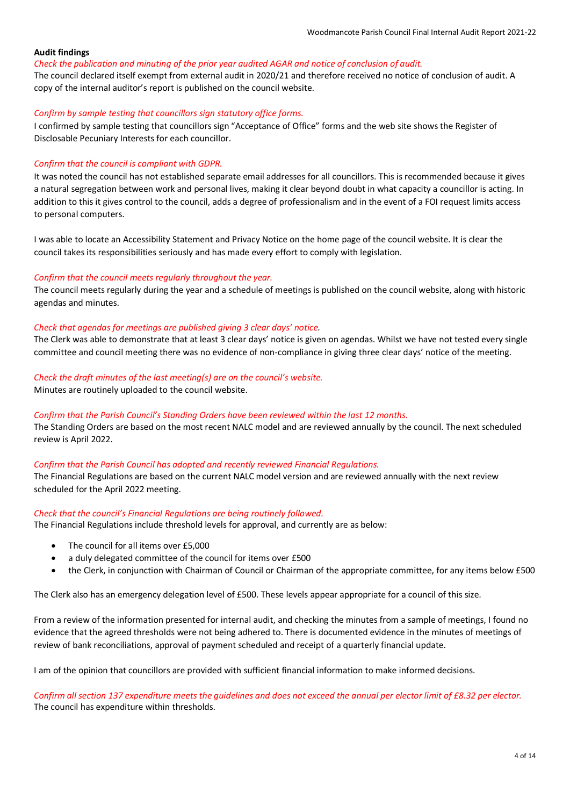#### *Check the publication and minuting of the prior year audited AGAR and notice of conclusion of audit.*

The council declared itself exempt from external audit in 2020/21 and therefore received no notice of conclusion of audit. A copy of the internal auditor's report is published on the council website.

### *Confirm by sample testing that councillors sign statutory office forms.*

I confirmed by sample testing that councillors sign "Acceptance of Office" forms and the web site shows the Register of Disclosable Pecuniary Interests for each councillor.

### *Confirm that the council is compliant with GDPR.*

It was noted the council has not established separate email addresses for all councillors. This is recommended because it gives a natural segregation between work and personal lives, making it clear beyond doubt in what capacity a councillor is acting. In addition to this it gives control to the council, adds a degree of professionalism and in the event of a FOI request limits access to personal computers.

I was able to locate an Accessibility Statement and Privacy Notice on the home page of the council website. It is clear the council takes its responsibilities seriously and has made every effort to comply with legislation.

### *Confirm that the council meets regularly throughout the year.*

The council meets regularly during the year and a schedule of meetings is published on the council website, along with historic agendas and minutes.

### *Check that agendas for meetings are published giving 3 clear days' notice.*

The Clerk was able to demonstrate that at least 3 clear days' notice is given on agendas. Whilst we have not tested every single committee and council meeting there was no evidence of non-compliance in giving three clear days' notice of the meeting.

### *Check the draft minutes of the last meeting(s) are on the council's website.*

Minutes are routinely uploaded to the council website.

# *Confirm that the Parish Council's Standing Orders have been reviewed within the last 12 months.*

The Standing Orders are based on the most recent NALC model and are reviewed annually by the council. The next scheduled review is April 2022.

### *Confirm that the Parish Council has adopted and recently reviewed Financial Regulations.*

The Financial Regulations are based on the current NALC model version and are reviewed annually with the next review scheduled for the April 2022 meeting.

#### *Check that the council's Financial Regulations are being routinely followed.*

The Financial Regulations include threshold levels for approval, and currently are as below:

- The council for all items over £5,000
- a duly delegated committee of the council for items over £500
- the Clerk, in conjunction with Chairman of Council or Chairman of the appropriate committee, for any items below £500

The Clerk also has an emergency delegation level of £500. These levels appear appropriate for a council of this size.

From a review of the information presented for internal audit, and checking the minutes from a sample of meetings, I found no evidence that the agreed thresholds were not being adhered to. There is documented evidence in the minutes of meetings of review of bank reconciliations, approval of payment scheduled and receipt of a quarterly financial update.

I am of the opinion that councillors are provided with sufficient financial information to make informed decisions.

*Confirm all section 137 expenditure meets the guidelines and does not exceed the annual per elector limit of £8.32 per elector.* The council has expenditure within thresholds.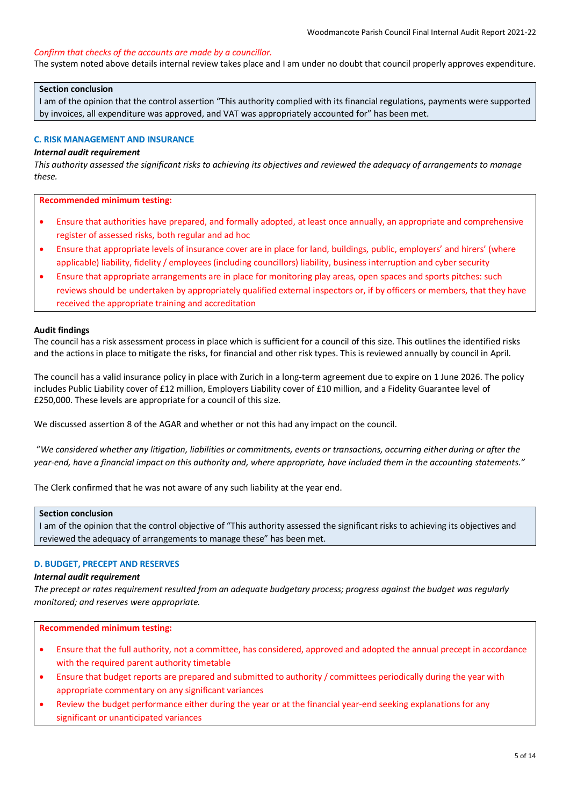#### *Confirm that checks of the accounts are made by a councillor.*

The system noted above details internal review takes place and I am under no doubt that council properly approves expenditure.

#### **Section conclusion**

I am of the opinion that the control assertion "This authority complied with its financial regulations, payments were supported by invoices, all expenditure was approved, and VAT was appropriately accounted for" has been met.

#### **C. RISK MANAGEMENT AND INSURANCE**

# *Internal audit requirement*

*This authority assessed the significant risks to achieving its objectives and reviewed the adequacy of arrangements to manage these.*

**Recommended minimum testing:**

- Ensure that authorities have prepared, and formally adopted, at least once annually, an appropriate and comprehensive register of assessed risks, both regular and ad hoc
- Ensure that appropriate levels of insurance cover are in place for land, buildings, public, employers' and hirers' (where applicable) liability, fidelity / employees (including councillors) liability, business interruption and cyber security
- Ensure that appropriate arrangements are in place for monitoring play areas, open spaces and sports pitches: such reviews should be undertaken by appropriately qualified external inspectors or, if by officers or members, that they have received the appropriate training and accreditation

#### **Audit findings**

The council has a risk assessment process in place which is sufficient for a council of this size. This outlines the identified risks and the actions in place to mitigate the risks, for financial and other risk types. This is reviewed annually by council in April.

The council has a valid insurance policy in place with Zurich in a long-term agreement due to expire on 1 June 2026. The policy includes Public Liability cover of £12 million, Employers Liability cover of £10 million, and a Fidelity Guarantee level of £250,000. These levels are appropriate for a council of this size.

We discussed assertion 8 of the AGAR and whether or not this had any impact on the council.

 "*We considered whether any litigation, liabilities or commitments, events or transactions, occurring either during or after the year-end, have a financial impact on this authority and, where appropriate, have included them in the accounting statements."*

The Clerk confirmed that he was not aware of any such liability at the year end.

#### **Section conclusion**

I am of the opinion that the control objective of "This authority assessed the significant risks to achieving its objectives and reviewed the adequacy of arrangements to manage these" has been met.

#### **D. BUDGET, PRECEPT AND RESERVES**

#### *Internal audit requirement*

*The precept or rates requirement resulted from an adequate budgetary process; progress against the budget was regularly monitored; and reserves were appropriate.*

- Ensure that the full authority, not a committee, has considered, approved and adopted the annual precept in accordance with the required parent authority timetable
- Ensure that budget reports are prepared and submitted to authority / committees periodically during the year with appropriate commentary on any significant variances
- Review the budget performance either during the year or at the financial year-end seeking explanations for any significant or unanticipated variances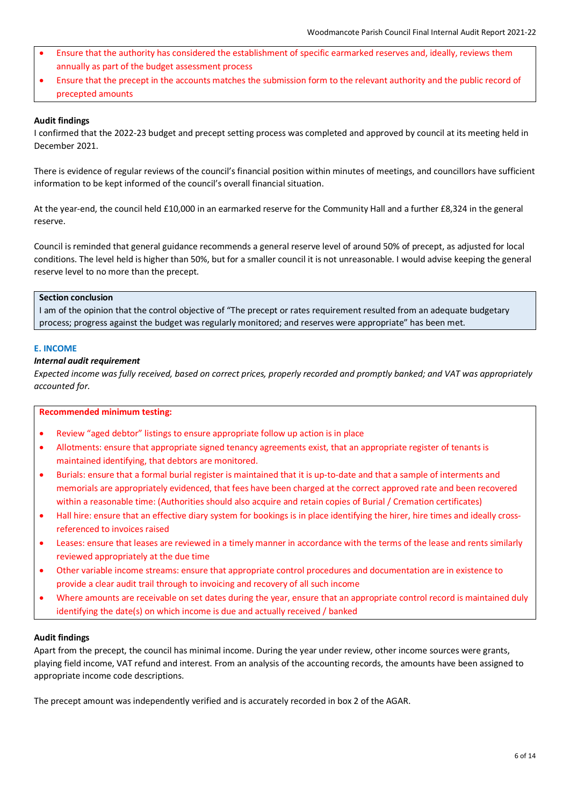- Ensure that the authority has considered the establishment of specific earmarked reserves and, ideally, reviews them annually as part of the budget assessment process
- Ensure that the precept in the accounts matches the submission form to the relevant authority and the public record of precepted amounts

I confirmed that the 2022-23 budget and precept setting process was completed and approved by council at its meeting held in December 2021.

There is evidence of regular reviews of the council's financial position within minutes of meetings, and councillors have sufficient information to be kept informed of the council's overall financial situation.

At the year-end, the council held £10,000 in an earmarked reserve for the Community Hall and a further £8,324 in the general reserve.

Council is reminded that general guidance recommends a general reserve level of around 50% of precept, as adjusted for local conditions. The level held is higher than 50%, but for a smaller council it is not unreasonable. I would advise keeping the general reserve level to no more than the precept.

# **Section conclusion**

I am of the opinion that the control objective of "The precept or rates requirement resulted from an adequate budgetary process; progress against the budget was regularly monitored; and reserves were appropriate" has been met.

# **E. INCOME**

# *Internal audit requirement*

*Expected income was fully received, based on correct prices, properly recorded and promptly banked; and VAT was appropriately accounted for.*

# **Recommended minimum testing:**

- Review "aged debtor" listings to ensure appropriate follow up action is in place
- Allotments: ensure that appropriate signed tenancy agreements exist, that an appropriate register of tenants is maintained identifying, that debtors are monitored.
- Burials: ensure that a formal burial register is maintained that it is up-to-date and that a sample of interments and memorials are appropriately evidenced, that fees have been charged at the correct approved rate and been recovered within a reasonable time: (Authorities should also acquire and retain copies of Burial / Cremation certificates)
- Hall hire: ensure that an effective diary system for bookings is in place identifying the hirer, hire times and ideally crossreferenced to invoices raised
- Leases: ensure that leases are reviewed in a timely manner in accordance with the terms of the lease and rents similarly reviewed appropriately at the due time
- Other variable income streams: ensure that appropriate control procedures and documentation are in existence to provide a clear audit trail through to invoicing and recovery of all such income
- Where amounts are receivable on set dates during the year, ensure that an appropriate control record is maintained duly identifying the date(s) on which income is due and actually received / banked

# **Audit findings**

Apart from the precept, the council has minimal income. During the year under review, other income sources were grants, playing field income, VAT refund and interest. From an analysis of the accounting records, the amounts have been assigned to appropriate income code descriptions.

The precept amount was independently verified and is accurately recorded in box 2 of the AGAR.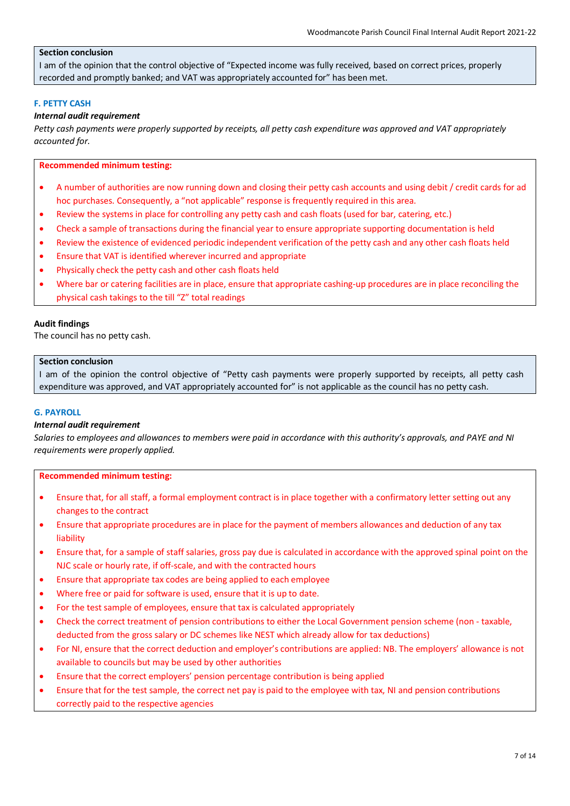# **Section conclusion**

I am of the opinion that the control objective of "Expected income was fully received, based on correct prices, properly recorded and promptly banked; and VAT was appropriately accounted for" has been met.

# **F. PETTY CASH**

### *Internal audit requirement*

*Petty cash payments were properly supported by receipts, all petty cash expenditure was approved and VAT appropriately accounted for.*

### **Recommended minimum testing:**

- A number of authorities are now running down and closing their petty cash accounts and using debit / credit cards for ad hoc purchases. Consequently, a "not applicable" response is frequently required in this area.
- Review the systems in place for controlling any petty cash and cash floats (used for bar, catering, etc.)
- Check a sample of transactions during the financial year to ensure appropriate supporting documentation is held
- Review the existence of evidenced periodic independent verification of the petty cash and any other cash floats held
- Ensure that VAT is identified wherever incurred and appropriate
- Physically check the petty cash and other cash floats held
- Where bar or catering facilities are in place, ensure that appropriate cashing-up procedures are in place reconciling the physical cash takings to the till "Z" total readings

### **Audit findings**

The council has no petty cash.

#### **Section conclusion**

I am of the opinion the control objective of "Petty cash payments were properly supported by receipts, all petty cash expenditure was approved, and VAT appropriately accounted for" is not applicable as the council has no petty cash.

### **G. PAYROLL**

#### *Internal audit requirement*

*Salaries to employees and allowances to members were paid in accordance with this authority's approvals, and PAYE and NI requirements were properly applied.*

- Ensure that, for all staff, a formal employment contract is in place together with a confirmatory letter setting out any changes to the contract
- Ensure that appropriate procedures are in place for the payment of members allowances and deduction of any tax liability
- Ensure that, for a sample of staff salaries, gross pay due is calculated in accordance with the approved spinal point on the NJC scale or hourly rate, if off-scale, and with the contracted hours
- Ensure that appropriate tax codes are being applied to each employee
- Where free or paid for software is used, ensure that it is up to date.
- For the test sample of employees, ensure that tax is calculated appropriately
- Check the correct treatment of pension contributions to either the Local Government pension scheme (non taxable, deducted from the gross salary or DC schemes like NEST which already allow for tax deductions)
- For NI, ensure that the correct deduction and employer's contributions are applied: NB. The employers' allowance is not available to councils but may be used by other authorities
- Ensure that the correct employers' pension percentage contribution is being applied
- Ensure that for the test sample, the correct net pay is paid to the employee with tax, NI and pension contributions correctly paid to the respective agencies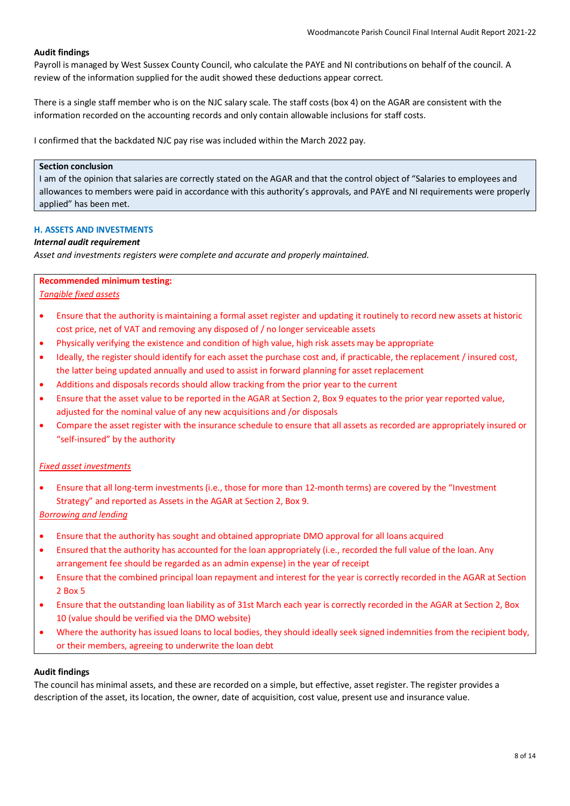Payroll is managed by West Sussex County Council, who calculate the PAYE and NI contributions on behalf of the council. A review of the information supplied for the audit showed these deductions appear correct.

There is a single staff member who is on the NJC salary scale. The staff costs (box 4) on the AGAR are consistent with the information recorded on the accounting records and only contain allowable inclusions for staff costs.

I confirmed that the backdated NJC pay rise was included within the March 2022 pay.

# **Section conclusion**

I am of the opinion that salaries are correctly stated on the AGAR and that the control object of "Salaries to employees and allowances to members were paid in accordance with this authority's approvals, and PAYE and NI requirements were properly applied" has been met.

# **H. ASSETS AND INVESTMENTS**

# *Internal audit requirement*

*Asset and investments registers were complete and accurate and properly maintained.*

### **Recommended minimum testing:**

*Tangible fixed assets*

- Ensure that the authority is maintaining a formal asset register and updating it routinely to record new assets at historic cost price, net of VAT and removing any disposed of / no longer serviceable assets
- Physically verifying the existence and condition of high value, high risk assets may be appropriate
- Ideally, the register should identify for each asset the purchase cost and, if practicable, the replacement / insured cost, the latter being updated annually and used to assist in forward planning for asset replacement
- Additions and disposals records should allow tracking from the prior year to the current
- Ensure that the asset value to be reported in the AGAR at Section 2, Box 9 equates to the prior year reported value, adjusted for the nominal value of any new acquisitions and /or disposals
- Compare the asset register with the insurance schedule to ensure that all assets as recorded are appropriately insured or "self-insured" by the authority

# *Fixed asset investments*

• Ensure that all long-term investments (i.e., those for more than 12-month terms) are covered by the "Investment Strategy" and reported as Assets in the AGAR at Section 2, Box 9.

*Borrowing and lending*

- Ensure that the authority has sought and obtained appropriate DMO approval for all loans acquired
- Ensured that the authority has accounted for the loan appropriately (i.e., recorded the full value of the loan. Any arrangement fee should be regarded as an admin expense) in the year of receipt
- Ensure that the combined principal loan repayment and interest for the year is correctly recorded in the AGAR at Section 2 Box 5
- Ensure that the outstanding loan liability as of 31st March each year is correctly recorded in the AGAR at Section 2, Box 10 (value should be verified via the DMO website)
- Where the authority has issued loans to local bodies, they should ideally seek signed indemnities from the recipient body, or their members, agreeing to underwrite the loan debt

# **Audit findings**

The council has minimal assets, and these are recorded on a simple, but effective, asset register. The register provides a description of the asset, its location, the owner, date of acquisition, cost value, present use and insurance value.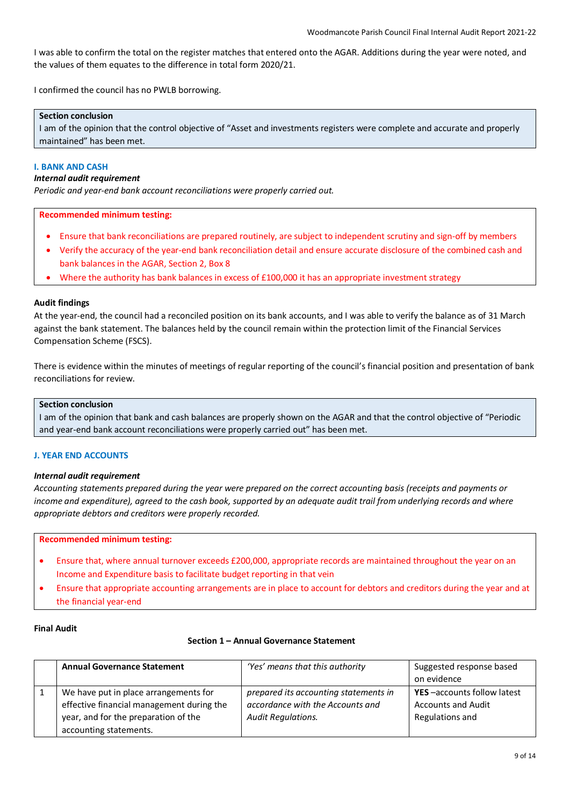I was able to confirm the total on the register matches that entered onto the AGAR. Additions during the year were noted, and the values of them equates to the difference in total form 2020/21.

I confirmed the council has no PWLB borrowing.

# **Section conclusion**

I am of the opinion that the control objective of "Asset and investments registers were complete and accurate and properly maintained" has been met.

### **I. BANK AND CASH**

#### *Internal audit requirement*

*Periodic and year-end bank account reconciliations were properly carried out.*

### **Recommended minimum testing:**

- Ensure that bank reconciliations are prepared routinely, are subject to independent scrutiny and sign-off by members
- Verify the accuracy of the year-end bank reconciliation detail and ensure accurate disclosure of the combined cash and bank balances in the AGAR, Section 2, Box 8
- Where the authority has bank balances in excess of £100,000 it has an appropriate investment strategy

### **Audit findings**

At the year-end, the council had a reconciled position on its bank accounts, and I was able to verify the balance as of 31 March against the bank statement. The balances held by the council remain within the protection limit of the Financial Services Compensation Scheme (FSCS).

There is evidence within the minutes of meetings of regular reporting of the council's financial position and presentation of bank reconciliations for review.

# **Section conclusion**

I am of the opinion that bank and cash balances are properly shown on the AGAR and that the control objective of "Periodic and year-end bank account reconciliations were properly carried out" has been met.

#### **J. YEAR END ACCOUNTS**

### *Internal audit requirement*

*Accounting statements prepared during the year were prepared on the correct accounting basis (receipts and payments or income and expenditure), agreed to the cash book, supported by an adequate audit trail from underlying records and where appropriate debtors and creditors were properly recorded.*

#### **Recommended minimum testing:**

- Ensure that, where annual turnover exceeds £200,000, appropriate records are maintained throughout the year on an Income and Expenditure basis to facilitate budget reporting in that vein
- Ensure that appropriate accounting arrangements are in place to account for debtors and creditors during the year and at the financial year-end

#### **Final Audit**

#### **Section 1 – Annual Governance Statement**

| <b>Annual Governance Statement</b>        | 'Yes' means that this authority       | Suggested response based           |
|-------------------------------------------|---------------------------------------|------------------------------------|
|                                           |                                       | on evidence                        |
| We have put in place arrangements for     | prepared its accounting statements in | <b>YES</b> -accounts follow latest |
| effective financial management during the | accordance with the Accounts and      | <b>Accounts and Audit</b>          |
| year, and for the preparation of the      | <b>Audit Regulations.</b>             | Regulations and                    |
| accounting statements.                    |                                       |                                    |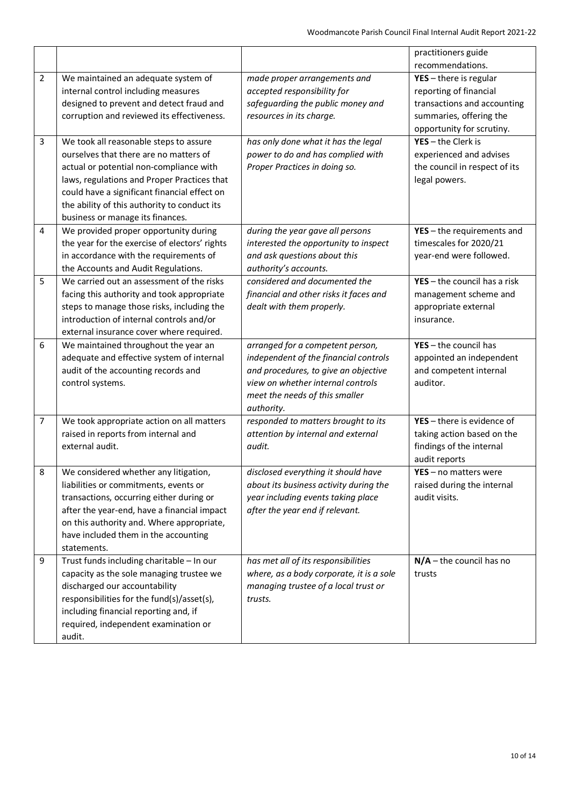|                |                                                                                                                                                                                                                                                                                                                |                                                                                                                                                                                                        | practitioners guide<br>recommendations.                                                                                                   |
|----------------|----------------------------------------------------------------------------------------------------------------------------------------------------------------------------------------------------------------------------------------------------------------------------------------------------------------|--------------------------------------------------------------------------------------------------------------------------------------------------------------------------------------------------------|-------------------------------------------------------------------------------------------------------------------------------------------|
| $\overline{2}$ | We maintained an adequate system of<br>internal control including measures<br>designed to prevent and detect fraud and<br>corruption and reviewed its effectiveness.                                                                                                                                           | made proper arrangements and<br>accepted responsibility for<br>safeguarding the public money and<br>resources in its charge.                                                                           | $YES - there$ is regular<br>reporting of financial<br>transactions and accounting<br>summaries, offering the<br>opportunity for scrutiny. |
| 3              | We took all reasonable steps to assure<br>ourselves that there are no matters of<br>actual or potential non-compliance with<br>laws, regulations and Proper Practices that<br>could have a significant financial effect on<br>the ability of this authority to conduct its<br>business or manage its finances. | has only done what it has the legal<br>power to do and has complied with<br>Proper Practices in doing so.                                                                                              | $YES - the Clerk is$<br>experienced and advises<br>the council in respect of its<br>legal powers.                                         |
| 4              | We provided proper opportunity during<br>the year for the exercise of electors' rights<br>in accordance with the requirements of<br>the Accounts and Audit Regulations.                                                                                                                                        | during the year gave all persons<br>interested the opportunity to inspect<br>and ask questions about this<br>authority's accounts.                                                                     | $YES - the requirements$ and<br>timescales for 2020/21<br>year-end were followed.                                                         |
| 5              | We carried out an assessment of the risks<br>facing this authority and took appropriate<br>steps to manage those risks, including the<br>introduction of internal controls and/or<br>external insurance cover where required.                                                                                  | considered and documented the<br>financial and other risks it faces and<br>dealt with them properly.                                                                                                   | $YES - the council has a risk$<br>management scheme and<br>appropriate external<br>insurance.                                             |
| 6              | We maintained throughout the year an<br>adequate and effective system of internal<br>audit of the accounting records and<br>control systems.                                                                                                                                                                   | arranged for a competent person,<br>independent of the financial controls<br>and procedures, to give an objective<br>view on whether internal controls<br>meet the needs of this smaller<br>authority. | $YES - the council has$<br>appointed an independent<br>and competent internal<br>auditor.                                                 |
| 7              | We took appropriate action on all matters<br>raised in reports from internal and<br>external audit.                                                                                                                                                                                                            | responded to matters brought to its<br>attention by internal and external<br>audit.                                                                                                                    | YES - there is evidence of<br>taking action based on the<br>findings of the internal<br>audit reports                                     |
| 8              | We considered whether any litigation,<br>liabilities or commitments, events or<br>transactions, occurring either during or<br>after the year-end, have a financial impact<br>on this authority and. Where appropriate,<br>have included them in the accounting<br>statements.                                  | disclosed everything it should have<br>about its business activity during the<br>year including events taking place<br>after the year end if relevant.                                                 | $YES - no$ matters were<br>raised during the internal<br>audit visits.                                                                    |
| 9              | Trust funds including charitable - In our<br>capacity as the sole managing trustee we<br>discharged our accountability<br>responsibilities for the fund(s)/asset(s),<br>including financial reporting and, if<br>required, independent examination or<br>audit.                                                | has met all of its responsibilities<br>where, as a body corporate, it is a sole<br>managing trustee of a local trust or<br>trusts.                                                                     | $N/A$ – the council has no<br>trusts                                                                                                      |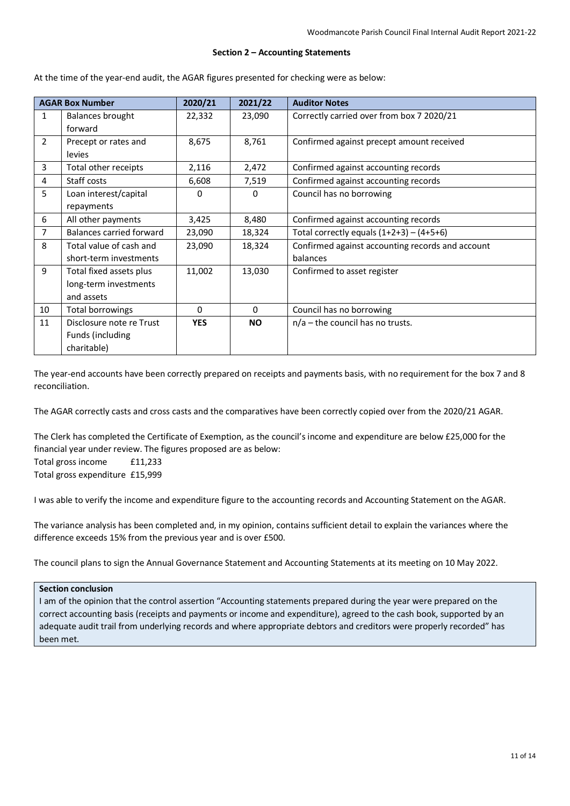#### **Section 2 – Accounting Statements**

At the time of the year-end audit, the AGAR figures presented for checking were as below:

| <b>AGAR Box Number</b> |                          | 2020/21    | 2021/22   | <b>Auditor Notes</b>                             |
|------------------------|--------------------------|------------|-----------|--------------------------------------------------|
| 1                      | Balances brought         | 22,332     | 23,090    | Correctly carried over from box 7 2020/21        |
|                        | forward                  |            |           |                                                  |
| $\overline{2}$         | Precept or rates and     | 8,675      | 8,761     | Confirmed against precept amount received        |
|                        | levies                   |            |           |                                                  |
| 3                      | Total other receipts     | 2,116      | 2,472     | Confirmed against accounting records             |
| 4                      | Staff costs              | 6,608      | 7,519     | Confirmed against accounting records             |
| 5.                     | Loan interest/capital    | 0          | 0         | Council has no borrowing                         |
|                        | repayments               |            |           |                                                  |
| 6                      | All other payments       | 3,425      | 8,480     | Confirmed against accounting records             |
| $\overline{7}$         | Balances carried forward | 23,090     | 18,324    | Total correctly equals $(1+2+3) - (4+5+6)$       |
| 8                      | Total value of cash and  | 23,090     | 18,324    | Confirmed against accounting records and account |
|                        | short-term investments   |            |           | balances                                         |
| 9                      | Total fixed assets plus  | 11,002     | 13,030    | Confirmed to asset register                      |
|                        | long-term investments    |            |           |                                                  |
|                        | and assets               |            |           |                                                  |
| 10                     | Total borrowings         | $\Omega$   | 0         | Council has no borrowing                         |
| 11                     | Disclosure note re Trust | <b>YES</b> | <b>NO</b> | $n/a$ – the council has no trusts.               |
|                        | Funds (including         |            |           |                                                  |
|                        | charitable)              |            |           |                                                  |

The year-end accounts have been correctly prepared on receipts and payments basis, with no requirement for the box 7 and 8 reconciliation.

The AGAR correctly casts and cross casts and the comparatives have been correctly copied over from the 2020/21 AGAR.

The Clerk has completed the Certificate of Exemption, as the council's income and expenditure are below £25,000 for the financial year under review. The figures proposed are as below: Total gross income £11,233 Total gross expenditure £15,999

I was able to verify the income and expenditure figure to the accounting records and Accounting Statement on the AGAR.

The variance analysis has been completed and, in my opinion, contains sufficient detail to explain the variances where the difference exceeds 15% from the previous year and is over £500.

The council plans to sign the Annual Governance Statement and Accounting Statements at its meeting on 10 May 2022.

#### **Section conclusion**

I am of the opinion that the control assertion "Accounting statements prepared during the year were prepared on the correct accounting basis (receipts and payments or income and expenditure), agreed to the cash book, supported by an adequate audit trail from underlying records and where appropriate debtors and creditors were properly recorded" has been met.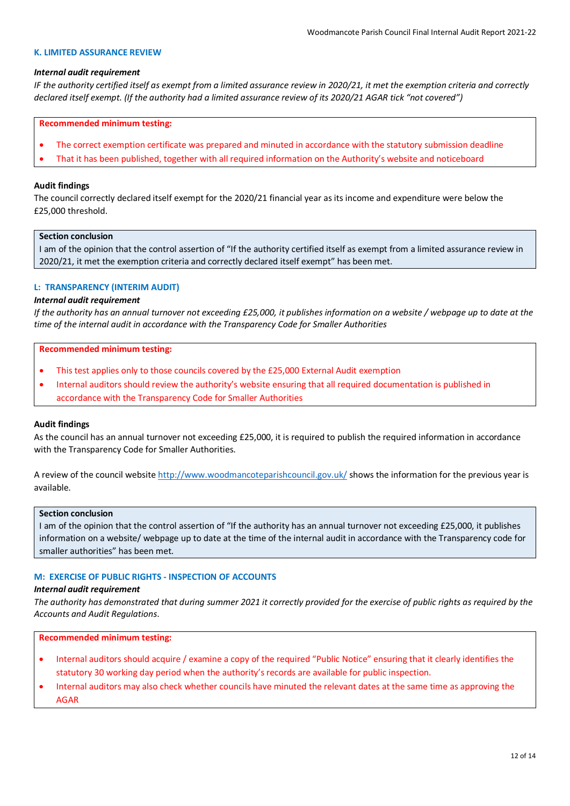### **K. LIMITED ASSURANCE REVIEW**

### *Internal audit requirement*

*IF the authority certified itself as exempt from a limited assurance review in 2020/21, it met the exemption criteria and correctly declared itself exempt. (If the authority had a limited assurance review of its 2020/21 AGAR tick "not covered")*

### **Recommended minimum testing:**

- The correct exemption certificate was prepared and minuted in accordance with the statutory submission deadline
- That it has been published, together with all required information on the Authority's website and noticeboard

# **Audit findings**

The council correctly declared itself exempt for the 2020/21 financial year as its income and expenditure were below the £25,000 threshold.

## **Section conclusion**

I am of the opinion that the control assertion of "If the authority certified itself as exempt from a limited assurance review in 2020/21, it met the exemption criteria and correctly declared itself exempt" has been met.

# **L: TRANSPARENCY (INTERIM AUDIT)**

### *Internal audit requirement*

*If the authority has an annual turnover not exceeding £25,000, it publishes information on a website / webpage up to date at the time of the internal audit in accordance with the Transparency Code for Smaller Authorities*

### **Recommended minimum testing:**

- This test applies only to those councils covered by the £25,000 External Audit exemption
- Internal auditors should review the authority's website ensuring that all required documentation is published in accordance with the Transparency Code for Smaller Authorities

### **Audit findings**

As the council has an annual turnover not exceeding £25,000, it is required to publish the required information in accordance with the Transparency Code for Smaller Authorities.

A review of the council website <http://www.woodmancoteparishcouncil.gov.uk/> shows the information for the previous year is available.

### **Section conclusion**

I am of the opinion that the control assertion of "If the authority has an annual turnover not exceeding £25,000, it publishes information on a website/ webpage up to date at the time of the internal audit in accordance with the Transparency code for smaller authorities" has been met.

# **M: EXERCISE OF PUBLIC RIGHTS - INSPECTION OF ACCOUNTS**

#### *Internal audit requirement*

*The authority has demonstrated that during summer 2021 it correctly provided for the exercise of public rights as required by the Accounts and Audit Regulations*.

- Internal auditors should acquire / examine a copy of the required "Public Notice" ensuring that it clearly identifies the statutory 30 working day period when the authority's records are available for public inspection.
- Internal auditors may also check whether councils have minuted the relevant dates at the same time as approving the AGAR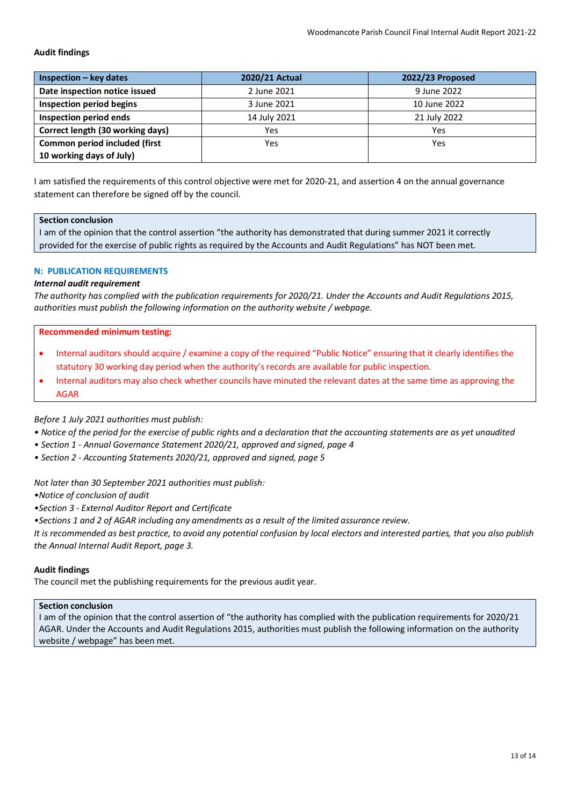| $Inspection - key dates$         | 2020/21 Actual | 2022/23 Proposed |
|----------------------------------|----------------|------------------|
| Date inspection notice issued    | 2 June 2021    | 9 June 2022      |
| Inspection period begins         | 3 June 2021    | 10 June 2022     |
| Inspection period ends           | 14 July 2021   | 21 July 2022     |
| Correct length (30 working days) | Yes            | Yes              |
| Common period included (first    | Yes            | Yes              |
| 10 working days of July)         |                |                  |

I am satisfied the requirements of this control objective were met for 2020-21, and assertion 4 on the annual governance statement can therefore be signed off by the council.

### **Section conclusion**

I am of the opinion that the control assertion "the authority has demonstrated that during summer 2021 it correctly provided for the exercise of public rights as required by the Accounts and Audit Regulations" has NOT been met.

# **N: PUBLICATION REQUIREMENTS**

### *Internal audit requirement*

*The authority has complied with the publication requirements for 2020/21. Under the Accounts and Audit Regulations 2015, authorities must publish the following information on the authority website / webpage.*

### **Recommended minimum testing:**

- Internal auditors should acquire / examine a copy of the required "Public Notice" ensuring that it clearly identifies the statutory 30 working day period when the authority's records are available for public inspection.
- Internal auditors may also check whether councils have minuted the relevant dates at the same time as approving the AGAR

*Before 1 July 2021 authorities must publish:*

- *Notice of the period for the exercise of public rights and a declaration that the accounting statements are as yet unaudited*
- *Section 1 Annual Governance Statement 2020/21, approved and signed, page 4*
- *Section 2 Accounting Statements 2020/21, approved and signed, page 5*

#### *Not later than 30 September 2021 authorities must publish:*

*•Notice of conclusion of audit*

*•Section 3 - External Auditor Report and Certificate*

*•Sections 1 and 2 of AGAR including any amendments as a result of the limited assurance review.*

*It is recommended as best practice, to avoid any potential confusion by local electors and interested parties, that you also publish the Annual Internal Audit Report, page 3.*

### **Audit findings**

The council met the publishing requirements for the previous audit year.

# **Section conclusion**

I am of the opinion that the control assertion of "the authority has complied with the publication requirements for 2020/21 AGAR. Under the Accounts and Audit Regulations 2015, authorities must publish the following information on the authority website / webpage" has been met.